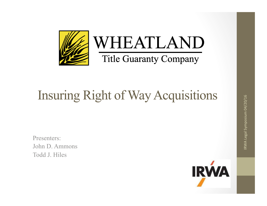

# Insuring Right of Way Acquisitions

Presenters: John D. Ammons Todd J. Hiles

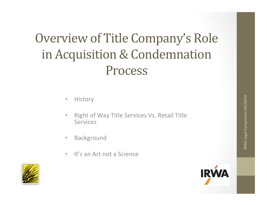## Overview of Title Company's Role in Acquisition & Condemnation Process

#### • History

- Right of Way Title Services Vs. Retail Title Services
- Background
- It's an Art not a Science



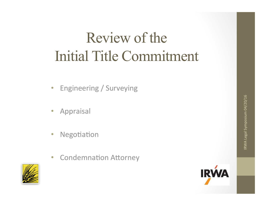# Review of the Initial Title Commitment

- Engineering / Surveying
- Appraisal
- Negotiation
- Condemnation Attorney



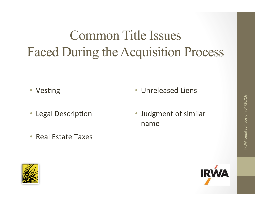# Common Title Issues Faced During the Acquisition Process

- Vesting
- Legal Description
- Real Estate Taxes
- Unreleased Liens
- Judgment of similar name



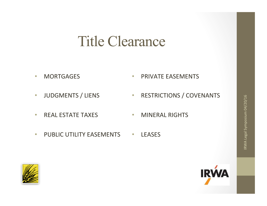#### Title Clearance

- MORTGAGES
- JUDGMENTS / LIENS
- PRIVATE EASEMENTS
- RESTRICTIONS / COVENANTS

• REAL ESTATE TAXES

- MINERAL RIGHTS
- PUBLIC UTILITY EASEMENTS • LEASES



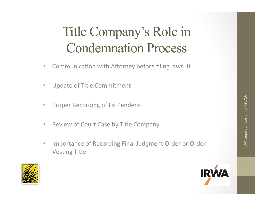# Title Company's Role in Condemnation Process

- Communication with Attorney before filing lawsuit
- Update of Title Commitment
- Proper Recording of Lis Pendens
- Review of Court Case by Title Company
- Importance of Recording Final Judgment Order or Order **Vesting Title**



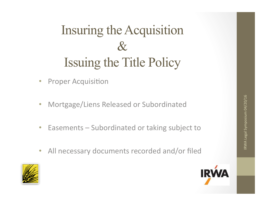## Insuring the Acquisition  $\pmb{\mathcal{R}}$ Issuing the Title Policy

- Proper Acquisition
- Mortgage/Liens Released or Subordinated
- Easements Subordinated or taking subject to
- All necessary documents recorded and/or filed